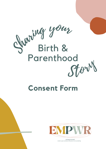

# **Consent Form**



em pow er *(verb) to give someone the power to do something*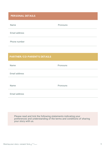# **PERSONAL DETAILS**

Name Pronouns Email address

Phone number

# **PARTNER/CO-PARENT'S DETAILS**

| Name          | Pronouns |
|---------------|----------|
| Email address |          |
|               |          |
| Name          | Pronouns |
| Email address |          |

Please read and tick the following statements indicating your preferences and understanding of the terms and conditions of sharing your story with us.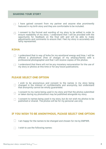- I have gained consent from my partner and anyone else prominently featured in my birth story and they are comfortable to be included.
- I consent to the format and wording of my story to be edited in order to ensure readability of my story. I understand that I will be provided with the opportunity for feedback on the final edit and will be able to make adjustments and comments to ensure that I feel my story is accurately and fairly represented.

# **KOHA**

- I understand that in way of koha for my emotional energy and time, I will be offered a photoshoot (free of charge) of my whanau/family with a professional photographer and that I will receive copies of the photos.
- $\Box$  I understand that there will not be any monetary remuneration for the use of my story or photos at this time or for any future publications.

#### **PLEASE SELECT ONE OPTION**

- I wish to be anonymous and consent to the names in my story being  $\Box$ changed in the interest of confidentiality and anonymity, but understand that anonymity cannot be wholly guaranteed.
- I consent to my name being used in my story and that the photos submitted  $\Box$ or taken during my photoshoot may be published alongside my story.
	- I consent to names being used in my story, but do not wish my photos to be published or shared. The photos will be for my personal use only.

# **IF YOU WISH TO BE ANONYMOUS, PLEASE SELECT ONE OPTION**

 $\Box$  I am happy for the names to be changed and chosen for me by EMPWR.

 $\Box$  I wish to use the following names: